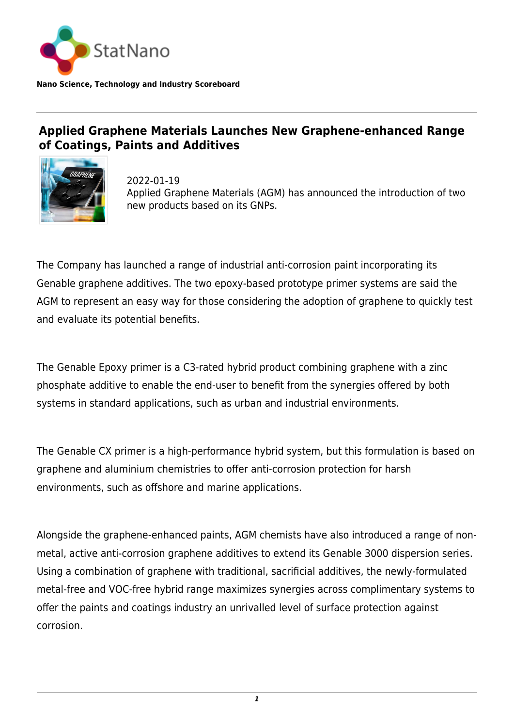

## **Applied Graphene Materials Launches New Graphene-enhanced Range of Coatings, Paints and Additives**



2022-01-19 Applied Graphene Materials (AGM) has announced the introduction of two new products based on its GNPs.

The Company has launched a range of industrial anti-corrosion paint incorporating its Genable graphene additives. The two epoxy-based prototype primer systems are said the AGM to represent an easy way for those considering the adoption of graphene to quickly test and evaluate its potential benefits.

The Genable Epoxy primer is a C3-rated hybrid product combining graphene with a zinc phosphate additive to enable the end-user to benefit from the synergies offered by both systems in standard applications, such as urban and industrial environments.

The Genable CX primer is a high-performance hybrid system, but this formulation is based on graphene and aluminium chemistries to offer anti-corrosion protection for harsh environments, such as offshore and marine applications.

Alongside the graphene-enhanced paints, AGM chemists have also introduced a range of nonmetal, active anti-corrosion graphene additives to extend its Genable 3000 dispersion series. Using a combination of graphene with traditional, sacrificial additives, the newly-formulated metal-free and VOC-free hybrid range maximizes synergies across complimentary systems to offer the paints and coatings industry an unrivalled level of surface protection against corrosion.